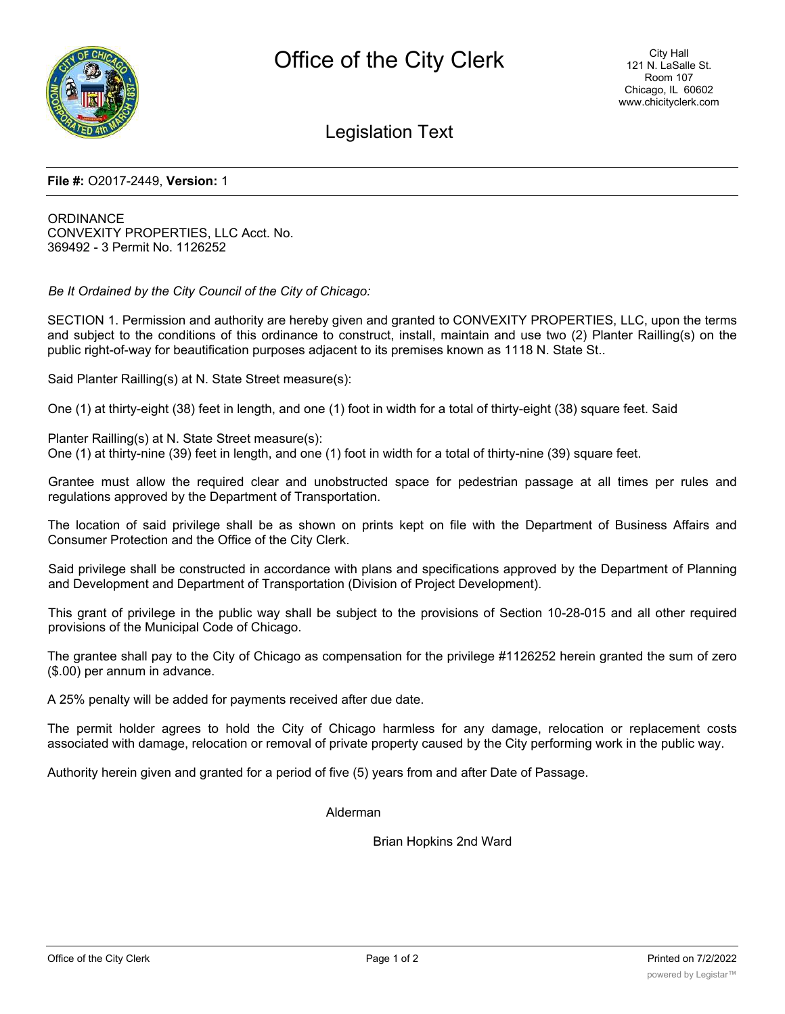

# Legislation Text

#### **File #:** O2017-2449, **Version:** 1

**ORDINANCE** CONVEXITY PROPERTIES, LLC Acct. No. 369492 - 3 Permit No. 1126252

*Be It Ordained by the City Council of the City of Chicago:*

SECTION 1. Permission and authority are hereby given and granted to CONVEXITY PROPERTIES, LLC, upon the terms and subject to the conditions of this ordinance to construct, install, maintain and use two (2) Planter Railling(s) on the public right-of-way for beautification purposes adjacent to its premises known as 1118 N. State St..

Said Planter Railling(s) at N. State Street measure(s):

One (1) at thirty-eight (38) feet in length, and one (1) foot in width for a total of thirty-eight (38) square feet. Said

Planter Railling(s) at N. State Street measure(s): One (1) at thirty-nine (39) feet in length, and one (1) foot in width for a total of thirty-nine (39) square feet.

Grantee must allow the required clear and unobstructed space for pedestrian passage at all times per rules and regulations approved by the Department of Transportation.

The location of said privilege shall be as shown on prints kept on file with the Department of Business Affairs and Consumer Protection and the Office of the City Clerk.

Said privilege shall be constructed in accordance with plans and specifications approved by the Department of Planning and Development and Department of Transportation (Division of Project Development).

This grant of privilege in the public way shall be subject to the provisions of Section 10-28-015 and all other required provisions of the Municipal Code of Chicago.

The grantee shall pay to the City of Chicago as compensation for the privilege #1126252 herein granted the sum of zero (\$.00) per annum in advance.

A 25% penalty will be added for payments received after due date.

The permit holder agrees to hold the City of Chicago harmless for any damage, relocation or replacement costs associated with damage, relocation or removal of private property caused by the City performing work in the public way.

Authority herein given and granted for a period of five (5) years from and after Date of Passage.

Alderman

Brian Hopkins 2nd Ward